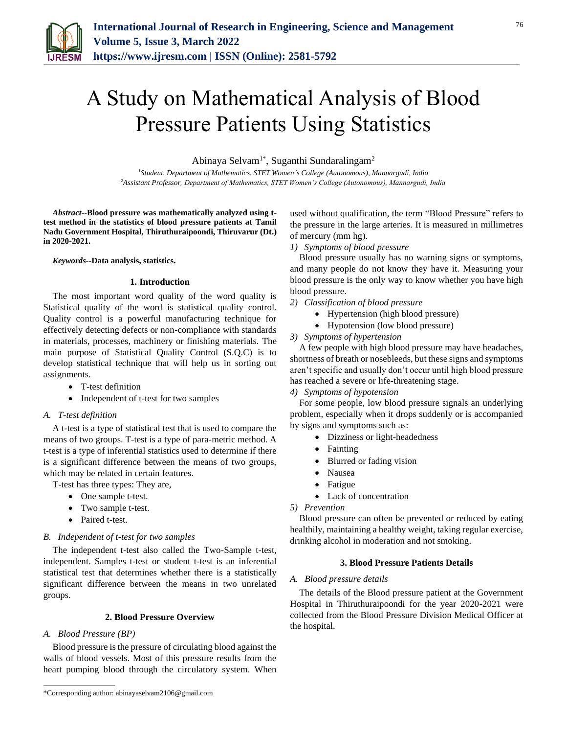

# A Study on Mathematical Analysis of Blood Pressure Patients Using Statistics

Abinaya Selvam<sup>1\*</sup>, Suganthi Sundaralingam<sup>2</sup>

*<sup>1</sup>Student, Department of Mathematics, STET Women's College (Autonomous), Mannargudi, India 2Assistant Professor, Department of Mathematics, STET Women's College (Autonomous), Mannargudi, India*

*Abstract***--Blood pressure was mathematically analyzed using ttest method in the statistics of blood pressure patients at Tamil Nadu Government Hospital, Thiruthuraipoondi, Thiruvarur (Dt.) in 2020-2021.**

*Keywords***--Data analysis, statistics.**

# **1. Introduction**

The most important word quality of the word quality is Statistical quality of the word is statistical quality control. Quality control is a powerful manufacturing technique for effectively detecting defects or non-compliance with standards in materials, processes, machinery or finishing materials. The main purpose of Statistical Quality Control (S.Q.C) is to develop statistical technique that will help us in sorting out assignments.

- T-test definition
- Independent of t-test for two samples

### *A. T-test definition*

A t-test is a type of statistical test that is used to compare the means of two groups. T-test is a type of para-metric method. A t-test is a type of inferential statistics used to determine if there is a significant difference between the means of two groups, which may be related in certain features.

T-test has three types: They are,

- One sample t-test.
- Two sample t-test.
- Paired t-test.

### *B. Independent of t-test for two samples*

The independent t-test also called the Two-Sample t-test, independent. Samples t-test or student t-test is an inferential statistical test that determines whether there is a statistically significant difference between the means in two unrelated groups.

# **2. Blood Pressure Overview**

#### *A. Blood Pressure (BP)*

Blood pressure is the pressure of circulating blood against the walls of blood vessels. Most of this pressure results from the heart pumping blood through the circulatory system. When used without qualification, the term "Blood Pressure" refers to the pressure in the large arteries. It is measured in millimetres of mercury (mm hg).

*1) Symptoms of blood pressure*

Blood pressure usually has no warning signs or symptoms, and many people do not know they have it. Measuring your blood pressure is the only way to know whether you have high blood pressure.

- *2) Classification of blood pressure*
	- Hypertension (high blood pressure)
	- Hypotension (low blood pressure)
- *3) Symptoms of hypertension*

A few people with high blood pressure may have headaches, shortness of breath or nosebleeds, but these signs and symptoms aren't specific and usually don't occur until high blood pressure has reached a severe or life-threatening stage.

*4) Symptoms of hypotension*

For some people, low blood pressure signals an underlying problem, especially when it drops suddenly or is accompanied by signs and symptoms such as:

- Dizziness or light-headedness
- Fainting
- Blurred or fading vision
- Nausea
- Fatigue
- Lack of concentration
- *5) Prevention*

Blood pressure can often be prevented or reduced by eating healthily, maintaining a healthy weight, taking regular exercise, drinking alcohol in moderation and not smoking.

# **3. Blood Pressure Patients Details**

### *A. Blood pressure details*

The details of the Blood pressure patient at the Government Hospital in Thiruthuraipoondi for the year 2020-2021 were collected from the Blood Pressure Division Medical Officer at the hospital.

<sup>\*</sup>Corresponding author: abinayaselvam2106@gmail.com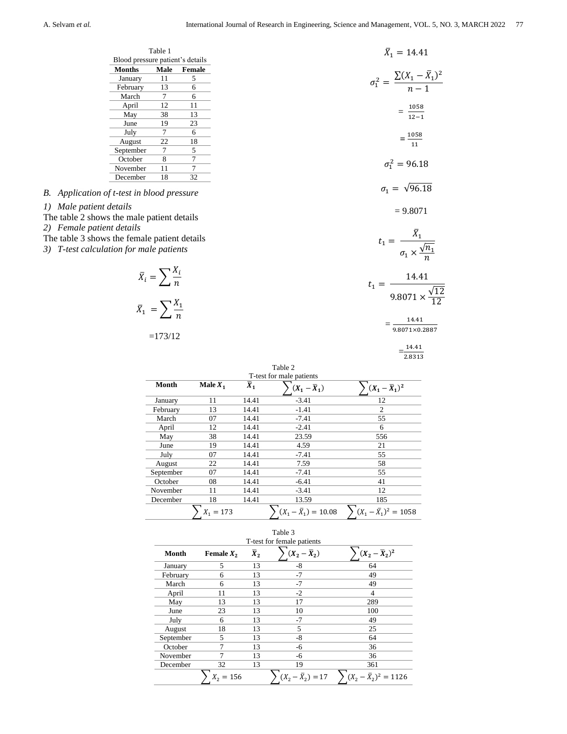|                                                                           |                                  | Table 1                              |            |             |                          | $\bar{X}_1 = 14.41$                                            |  |
|---------------------------------------------------------------------------|----------------------------------|--------------------------------------|------------|-------------|--------------------------|----------------------------------------------------------------|--|
|                                                                           | Blood pressure patient's details |                                      |            |             |                          |                                                                |  |
|                                                                           | <b>Months</b>                    | Male                                 | Female     |             |                          |                                                                |  |
|                                                                           | January                          | 11                                   | 5          |             |                          | $\sigma_1^2 = \frac{\sum (X_1 - \bar{X}_1)^2}{n-1}$            |  |
|                                                                           | February                         | 13                                   | 6          |             |                          |                                                                |  |
|                                                                           | March                            | 7                                    | 6          |             |                          |                                                                |  |
|                                                                           | April                            | 12                                   | 11         |             |                          | $=\frac{1058}{12-1}$                                           |  |
|                                                                           | May                              | 38                                   | 13         |             |                          |                                                                |  |
|                                                                           | June                             | 19                                   | 23         |             |                          |                                                                |  |
|                                                                           | July                             | 7                                    | 6          |             |                          | $=\frac{1058}{11}$                                             |  |
|                                                                           | August                           | 22                                   | 18         |             |                          |                                                                |  |
|                                                                           | September                        | 7                                    | 5          |             |                          |                                                                |  |
|                                                                           | October                          | 8                                    | $\tau$     |             |                          | $\sigma_1^2 = 96.18$                                           |  |
|                                                                           | November                         | 11                                   | 7          |             |                          |                                                                |  |
|                                                                           | December                         | 18                                   | 32         |             |                          |                                                                |  |
| B. Application of t-test in blood pressure                                |                                  |                                      |            |             |                          | $\sigma_1 = \sqrt{96.18}$                                      |  |
| 1) Male patient details<br>The table 2 shows the male patient details     |                                  |                                      |            |             |                          | $= 9.8071$                                                     |  |
| 2) Female patient details<br>The table 3 shows the female patient details |                                  |                                      |            |             |                          |                                                                |  |
| 3) T-test calculation for male patients                                   |                                  |                                      |            |             |                          | $t_1 = \frac{\bar{X}_1}{\sigma_1 \times \frac{\sqrt{n_1}}{n}}$ |  |
|                                                                           |                                  | $\bar{X}_i = \sum_{i} \frac{X_i}{n}$ |            |             |                          | $t_1 = \frac{14.41}{9.8071 \times 100}$                        |  |
|                                                                           |                                  | $\bar{X}_1 = \sum_{1} \frac{X_1}{n}$ |            |             |                          |                                                                |  |
|                                                                           |                                  |                                      |            |             |                          | 14.41                                                          |  |
|                                                                           |                                  | $=173/12$                            |            |             |                          | $=$<br>9.8071×0.2887                                           |  |
|                                                                           |                                  |                                      |            |             |                          | $\frac{14.41}{2.8313}$                                         |  |
|                                                                           |                                  |                                      |            |             |                          |                                                                |  |
|                                                                           |                                  |                                      |            |             | Table 2                  |                                                                |  |
|                                                                           |                                  |                                      |            |             | T-test for male patients |                                                                |  |
|                                                                           |                                  | Month                                | Male $X_1$ | $\bar{X}_1$ | $(X_1 - \overline{X}_1)$ | $\sum (X_1 - \bar{X}_1)^2$                                     |  |
|                                                                           |                                  | January                              | 11         | 14.41       | $-3.41$                  | 12                                                             |  |
|                                                                           |                                  | February                             | 13         | 14.41       | $-1.41$                  | $\overline{c}$                                                 |  |
|                                                                           |                                  | March                                | 07         | 14.41       | $-7.41$                  | 55                                                             |  |
|                                                                           |                                  | April                                | 12         | 14.41       | $-2.41$                  | 6                                                              |  |
|                                                                           |                                  | May                                  | 38         | 14.41       | 23.59                    | 556                                                            |  |
|                                                                           |                                  | June                                 | 19         | 14.41       | 4.59                     | 21                                                             |  |
|                                                                           |                                  | <b>Inly</b>                          | $\Omega$   | 14 41       | $-7.41$                  | 55                                                             |  |

| June      | 19          | 14.41 | 4.59                        | 21                           |
|-----------|-------------|-------|-----------------------------|------------------------------|
| July      | 07          | 14.41 | $-7.41$                     | 55                           |
| August    | 22          | 14.41 | 7.59                        | 58                           |
| September | 07          | 14.41 | $-7.41$                     | 55                           |
| October   | 08          | 14.41 | $-6.41$                     | 41                           |
| November  | 11          | 14.41 | $-3.41$                     | 12                           |
| December  | 18          | 14.41 | 13.59                       | 185                          |
|           | $X_1 = 173$ |       | $(X_1 - \bar{X}_1) = 10.08$ | $(X_1 - \bar{X}_1)^2 = 1058$ |
|           |             |       | Table 3                     |                              |

|           |              |                  | 1 able 3<br>T-test for female patients |                              |
|-----------|--------------|------------------|----------------------------------------|------------------------------|
| Month     | Female $X_2$ | $\overline{X}_2$ | $(X_2-\overline{X}_2)$                 | $(X_2-\overline{X}_2)^2$     |
| January   | 5            | 13               | -8                                     | 64                           |
| February  | 6            | 13               | -7                                     | 49                           |
| March     | 6            | 13               | $-7$                                   | 49                           |
| April     | 11           | 13               | $-2$                                   | 4                            |
| May       | 13           | 13               | 17                                     | 289                          |
| June      | 23           | 13               | 10                                     | 100                          |
| July      | 6            | 13               | -7                                     | 49                           |
| August    | 18           | 13               | 5                                      | 25                           |
| September | 5            | 13               | -8                                     | 64                           |
| October   | 7            | 13               | -6                                     | 36                           |
| November  |              | 13               | -6                                     | 36                           |
| December  | 32           | 13               | 19                                     | 361                          |
|           | $X_2 = 156$  |                  | $(X_2 - \bar{X}_2) = 17$               | $(X_2 - \bar{X}_2)^2 = 1126$ |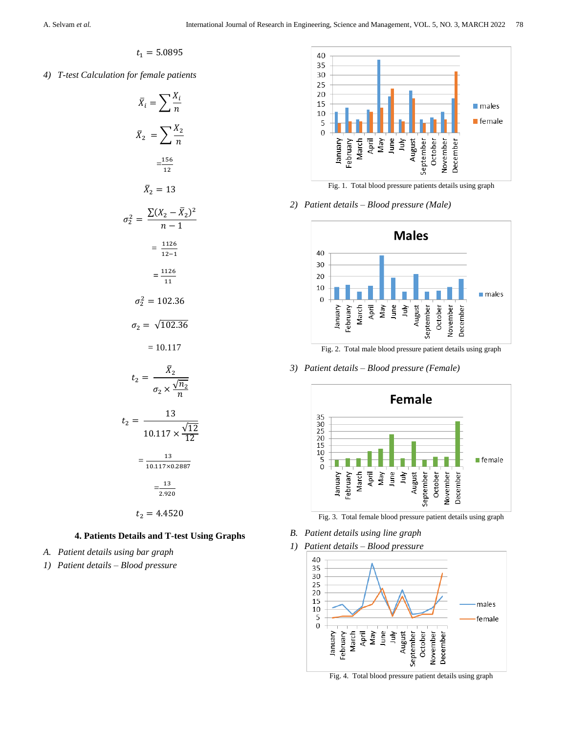$$
t_1=5.0895
$$

*4) T-test Calculation for female patients*



# **4. Patients Details and T-test Using Graphs**

- *A. Patient details using bar graph*
- *1) Patient details – Blood pressure*



Fig. 1. Total blood pressure patients details using graph

# *2) Patient details – Blood pressure (Male)*



*3) Patient details – Blood pressure (Female)*



Fig. 3. Total female blood pressure patient details using graph

- *B. Patient details using line graph*
- *1) Patient details – Blood pressure*



Fig. 4. Total blood pressure patient details using graph